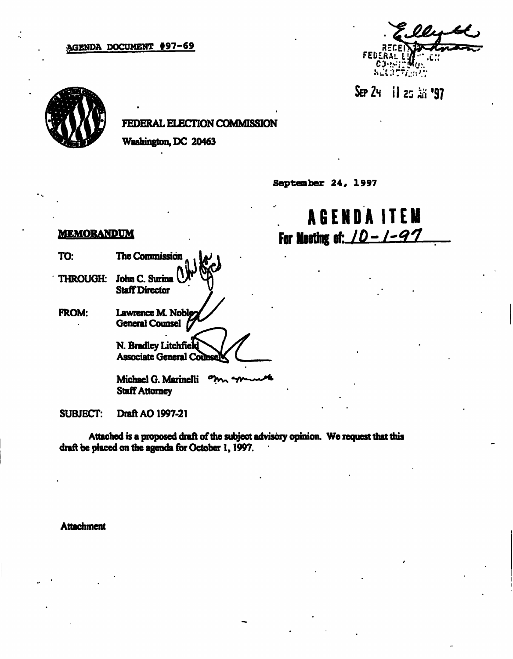#### AGENDA DOCUMENT \$97-69

FEDERAL<br>CJ··· WELSER AND

ا **97** تن 25 ا



# FEDERAL ELECTION COMMISSION

Washington, DC 20463

September 24, 1997

# AGEND A ITE M For Meeting of:  $10 - 1 - 97$

# MEMORANDUM

TO: The Commission THROUGH: John C. Surina Staff Director FROM: Lawrence M. General Counsel N. Bradley Litchfield **Associate General Counse** 

> Michael G. Marinelli ግ **Staff Attorney**

SUBJECT: Draft AO1997-21

Attached is a proposed draft of the subject advisory opinion. We request that this draft be placed on the agenda for October 1, 1997.

**Attachment**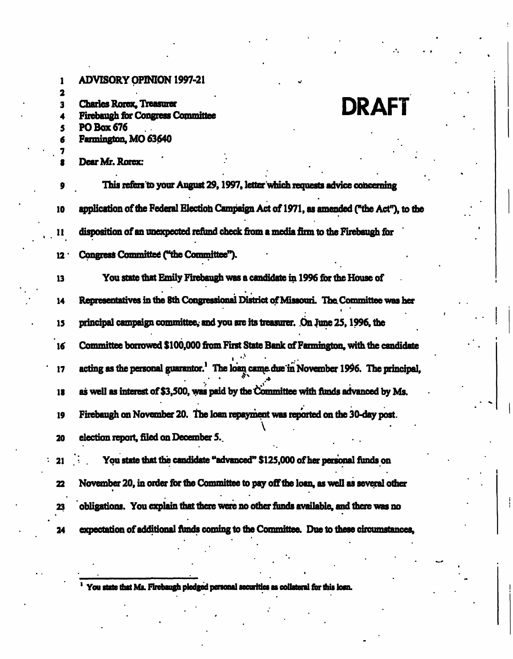1 ADVISORY OPINION 1997-21 2 3 Charles Rorex, Treasurer DRAFT Firebaugh for Congress Committee 5 PO Box 676 6 Farmington, MO 63640 7 Dear Mr. Rorex: This refers to your August 29, 1997, letter which requests advice concerning 10 application of the Federal Election Campaign Act of 1971, as amended ("the Act"), to the 11 disposition of an unexpected refund check from a media firm to the Firebaugh for 12' Congress Committee ("the Committee"). 13 You state that Emily Firebaugh was a candidate in 1996 for the House of 14 Representatives in the 8th Congressional District of Missouri. The. Committee was her 15 principal campaign committee, and you are its treasurer. On June 25, 1996, the 16 Committee borrowed \$100,000 from Fust State Bank of Farmington, with the candidate  $\ddot{\cdot}$ 17 acting as the personal guarantor.<sup>1</sup> The loan came-due in November 1996. The principal, 18 as well as interest of \$3,500, was paid by the Committee with funds advanced by Ms. 19 Firebaugh on November 20. The loan repayment was reported on the 30-day post.  $\Lambda$  -state is a set of the state in  $\Lambda$ 20 election report, filed on December 5. 21 . You state that the candidate "advanced" \$125,000 of her personal funds on 22 November 20, in order for the Committee to pay off the loan, as well as several other 23 obligations. You explain that there were no other funds available, and there was no 24 expectation of additional funds coming to the Committee. Due to these circumstances,

You state that Ms. Firebaugh pledged personal securities as collateral for this loan.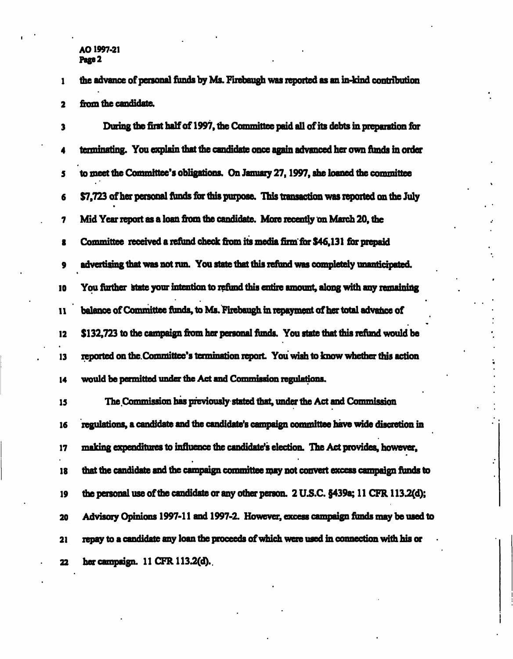#### AO1997-21 Page 2

1 the advance of personal funds by Ms. Firebaugh was reported as an in-kind contribution 2 fiom the candidate.

3 Dining the first half of 1997, the Committee paid all of hs debts in preparation for 4 terminating. You explain that the candidate once again advanced her own funds in order 5 to meet the Committee's obligations. On January 27,1997, she loaned the committee 6 \$7,723 of her personal funds for this purpose. This transaction was reported on the July 7 Mid Year report as a loan fiom the candidate. More recently on March 20, the 8 Committee received a refund check from its media firm for \$46,131 for prepaid 9 advertising that was not run. You state that this refund was completely unanticipated. 10 You further state your intention to refund this entire amount, along with any remaining 11 balance of Committee funds, to Ms. Firebaugh in repayment of her total advance of 12 \$132,723 to the campaign from her personal funds. You state that this refund would be 13 reported on the Committee's termination report. You wish to know whether this action 14 would be permitted under the Act and Commission regulations. 15 The Commission has previously stated that, under the Act and Commission 16 regulations, a candidate and the candidate's campaign committee have wide discretion in 17 making expenditures to influence the candidate's election. The Act provides, however, 18 that the candidate and the campaign committee may not convert excess campaign funds to 19 the personal use of the candidate or any other person. 2U.S.C. §439a; 11CFR 113.2(d);

20 Advisory Opinions 1997-11 and 1997-2. However, excess campaign funds may be used to 21 repay to a candidate any loan the proceeds of which were used in connection with his or 22 her campaign. 11 CFR113.2(d).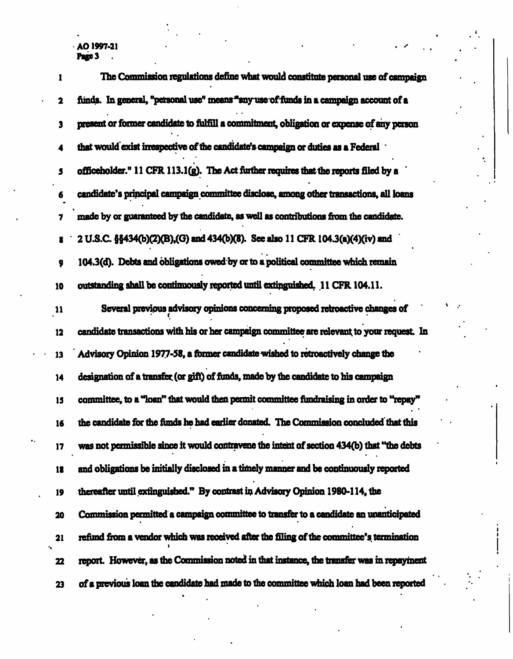# AO 1997-21<br>**Page 3**

| 1             | The Commission regulations define what would constitute personal use of campaign           |
|---------------|--------------------------------------------------------------------------------------------|
| 2             | funds. In general, "personal use" means "any use of funds in a campaign account of a       |
| 3             | present or former candidate to fulfill a commitment, obligation or expense of any person   |
|               | that would exist irrespective of the candidate's campaign or duties as a Federal .         |
| 5             | officeholder." 11 CFR 113.1(g). The Act further requires that the reports filed by a       |
| 6             | candidate's principal campaign committee disclose, among other transactions, all loans     |
| 7             | made by or guaranteed by the candidate, as well as contributions from the candidate.       |
| 8             | 2 U.S.C. §§434(b)(2)(B),(G) and 434(b)(8). See also 11 CFR 104.3(a)(4)(iv) and             |
| 9             | 104.3(d). Debts and obligations owed by or to a political committee which remain           |
| 10            | outstanding shall be continuously reported until extinguished. 11 CFR 104.11.              |
| $\mathbf{11}$ | Several previous advisory opinions concerning proposed retroactive changes of              |
| 12            | candidate transactions with his or her campaign committee are relevant to your request. In |
| 13            | Advisory Opinion 1977-58, a former candidate wished to retroactively change the            |
| 14            | designation of a transfer (or gift) of funds, made by the candidate to his campaign        |
| 15            | committee, to a "loan" that would then permit committee fundraising in order to "repay"    |
| 16            | the candidate for the funds he had earlier donated. The Commission concluded that this     |
| 17            | was not permissible since it would contravene the intent of section 434(b) that "the debts |
| 18            | and obligations be initially disclosed in a timely manner and be continuously reported     |
| 19            | thereafter until extinguished." By contrast in Advisory Opinion 1980-114, the              |
| 20            | Commission permitted a campaign committee to transfer to a candidate an unanticipated      |
| 21            | refund from a vendor which was received after the filing of the committee's termination    |
| 22            | report. However, as the Commission noted in that instance, the transfer was in repayment   |
| 23            | of a previous loan the candidate had made to the committee which loan had been reported    |

l,

÷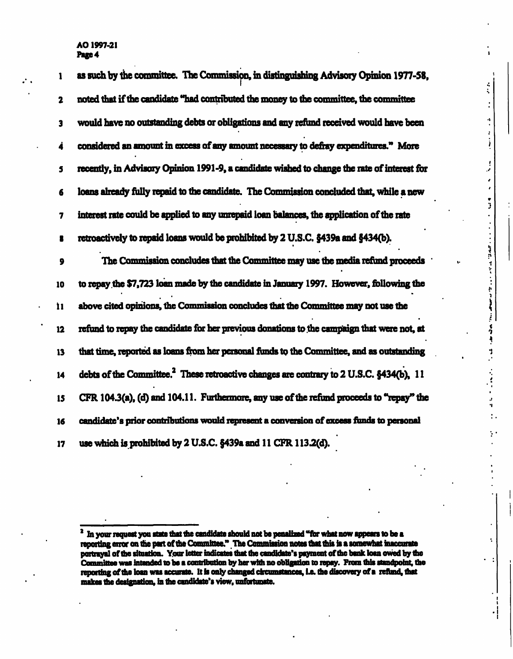AO 1997-21 Page 4

| 1  | as such by the committee. The Commission, in distinguishing Advisory Opinion 1977-58,                  |
|----|--------------------------------------------------------------------------------------------------------|
| 2  | noted that if the candidate "had contributed the money to the committee, the committee                 |
| 3  | would have no outstanding debts or obligations and any refund received would have been                 |
| 4  | considered an amount in excess of any amount necessary to defray expenditures." More                   |
| 5  | recently, in Advisory Opinion 1991-9, a candidate wished to change the rate of interest for            |
| 6  | loans already fully repaid to the candidate. The Commission concluded that, while a new                |
| 7  | interest rate could be applied to any unrepaid loan balances, the application of the rate              |
| В  | retroactively to repaid loans would be prohibited by 2 U.S.C. §439a and §434(b).                       |
| 9  | The Commission concludes that the Committee may use the media refund proceeds                          |
| 10 | to repay the \$7,723 loan made by the candidate in January 1997. However, following the                |
| Ì1 | above cited opinions, the Commission concludes that the Committee may not use the                      |
| 12 | refund to repay the candidate for her previous donations to the campaign that were not, at             |
| 13 | that time, reported as loans from her personal funds to the Committee, and as outstanding              |
| 14 | debts of the Committee. <sup>2</sup> These retroactive changes are contrary to 2 U.S.C. $6434(b)$ , 11 |
| 15 | CFR 104.3(a), (d) and 104.11. Furthermore, any use of the refund proceeds to "repay" the               |
| 16 | candidate's prior contributions would represent a conversion of excess funds to personal               |
| 17 | use which is prohibited by 2 U.S.C. §439a and 11 CFR 113.2(d).                                         |

÷.

4 ż.

ÿ

is an  $\frac{1}{2}$ 

> 小学 ļ  $\epsilon$  $\frac{1}{2}$

> > J

<sup>&</sup>lt;sup>2</sup> In your request you state that the candidate should not be penalized "for what now appears to be a reporting error on the part of the Committee." The Commission notes that this is a somewhat inaccurate portrayal of the Committee was intended to be a contribution by her with no obligation to repay. From this standpoint, the reporting of the loan was accurate. It is only changed circumstances, i.e. the discovery of a refund, that makes the designation, in the candidate's view, unfortunate.